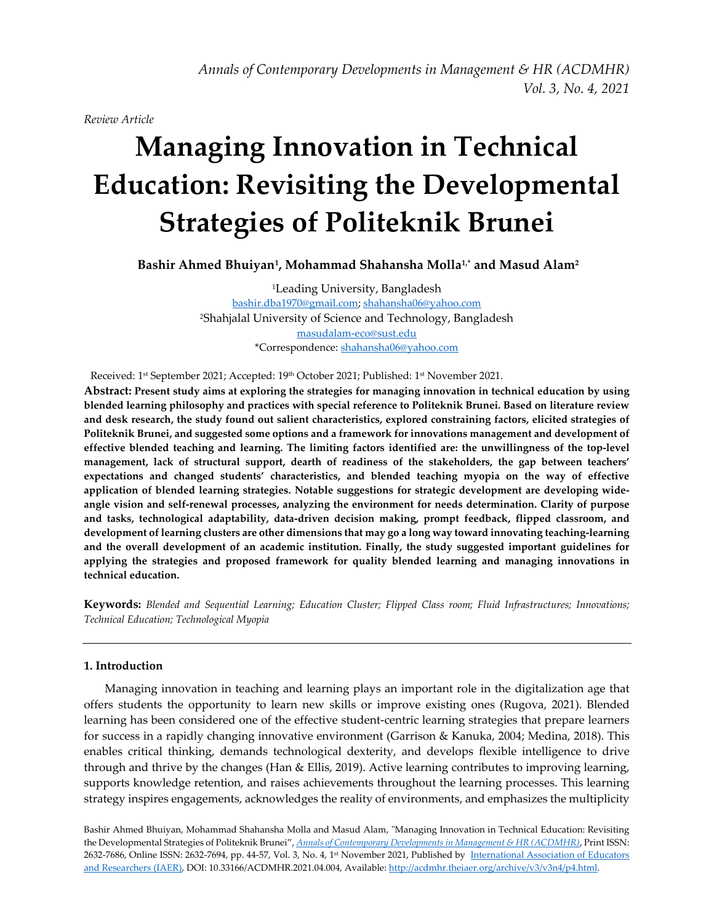*Annals of Contemporary Developments in Management & HR (ACDMHR) Vol. 3, No. 4, 2021*

*Review Article*

# **Managing Innovation in Technical Education: Revisiting the Developmental Strategies of Politeknik Brunei**

**Bashir Ahmed Bhuiyan<sup>1</sup> , Mohammad Shahansha Molla1,\* and Masud Alam<sup>2</sup>**

<sup>1</sup>Leading University, Bangladesh [bashir.dba1970@gmail.com;](mailto:bashir.dba1970@gmail.com) [shahansha06@yahoo.com](mailto:shahansha06@yahoo.com) <sup>2</sup>Shahjalal University of Science and Technology, Bangladesh [masudalam-eco@sust.edu](mailto:masudalam-eco@sust.edu) \*Correspondence[: shahansha06@yahoo.com](mailto:shahansha06@yahoo.com)

Received: 1 st September 2021; Accepted: 19th October 2021; Published: 1 st November 2021.

**Abstract: Present study aims at exploring the strategies for managing innovation in technical education by using blended learning philosophy and practices with special reference to Politeknik Brunei. Based on literature review and desk research, the study found out salient characteristics, explored constraining factors, elicited strategies of Politeknik Brunei, and suggested some options and a framework for innovations management and development of effective blended teaching and learning. The limiting factors identified are: the unwillingness of the top-level management, lack of structural support, dearth of readiness of the stakeholders, the gap between teachers' expectations and changed students' characteristics, and blended teaching myopia on the way of effective application of blended learning strategies. Notable suggestions for strategic development are developing wideangle vision and self-renewal processes, analyzing the environment for needs determination. Clarity of purpose and tasks, technological adaptability, data-driven decision making, prompt feedback, flipped classroom, and development of learning clusters are other dimensions that may go a long way toward innovating teaching-learning and the overall development of an academic institution. Finally, the study suggested important guidelines for applying the strategies and proposed framework for quality blended learning and managing innovations in technical education.** 

**Keywords:** *Blended and Sequential Learning; Education Cluster; Flipped Class room; Fluid Infrastructures; Innovations; Technical Education; Technological Myopia*

# **1. Introduction**

Managing innovation in teaching and learning plays an important role in the digitalization age that offers students the opportunity to learn new skills or improve existing ones [\(Rugova, 2021\)](#page-13-0). Blended learning has been considered one of the effective student-centric learning strategies that prepare learners for success in a rapidly changing innovative environment [\(Garrison & Kanuka, 2004;](#page-12-0) [Medina, 2018\)](#page-12-1). This enables critical thinking, demands technological dexterity, and develops flexible intelligence to drive through and thrive by the changes [\(Han & Ellis, 2019\)](#page-12-2). Active learning contributes to improving learning, supports knowledge retention, and raises achievements throughout the learning processes. This learning strategy inspires engagements, acknowledges the reality of environments, and emphasizes the multiplicity

Bashir Ahmed Bhuiyan, Mohammad Shahansha Molla and Masud Alam, "Managing Innovation in Technical Education: Revisiting the Developmental Strategies of Politeknik Brunei", *[Annals of Contemporary Developments in Management & HR \(ACDMHR\)](http://acdmhr.theiaer.org/)*, Print ISSN: 2632-7686, Online ISSN: 2632-7694, pp. 44-57, Vol. 3, No. 4, 1st November 2021, Published by [International Association of Educators](http://www.theiaer.org/index.htm)  [and Researchers \(IAER\),](http://www.theiaer.org/index.htm) DOI: 10.33166/ACDMHR.2021.04.004, Available: http://acdmhr.theiaer.org/archive/v3/v3n4/p4.html.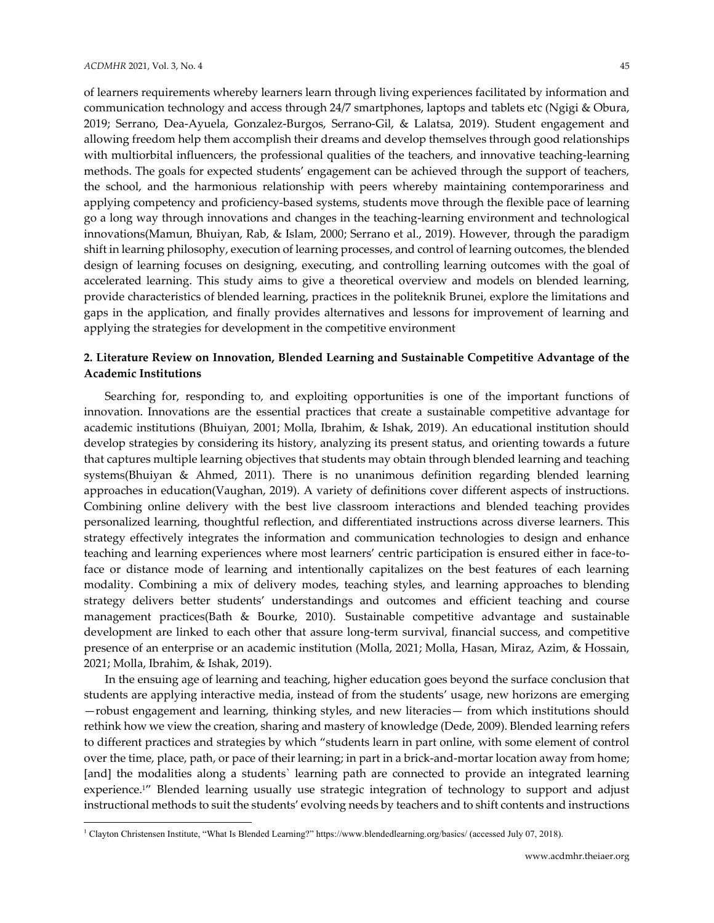$\overline{a}$ 

of learners requirements whereby learners learn through living experiences facilitated by information and communication technology and access through 24/7 smartphones, laptops and tablets etc [\(Ngigi & Obura,](#page-12-3)  [2019;](#page-12-3) Serrano, Dea‐Ayuela, Gonzalez‐Burgos, Serrano‐Gil, & Lalatsa, 2019). Student engagement and allowing freedom help them accomplish their dreams and develop themselves through good relationships with multiorbital influencers, the professional qualities of the teachers, and innovative teaching-learning methods. The goals for expected students' engagement can be achieved through the support of teachers, the school, and the harmonious relationship with peers whereby maintaining contemporariness and applying competency and proficiency-based systems, students move through the flexible pace of learning go a long way through innovations and changes in the teaching-learning environment and technological innovations(Mamun, Bhuiyan, Rab, & Islam, 2000; Serrano et al., 2019). However, through the paradigm shift in learning philosophy, execution of learning processes, and control of learning outcomes, the blended design of learning focuses on designing, executing, and controlling learning outcomes with the goal of accelerated learning. This study aims to give a theoretical overview and models on blended learning, provide characteristics of blended learning, practices in the politeknik Brunei, explore the limitations and gaps in the application, and finally provides alternatives and lessons for improvement of learning and applying the strategies for development in the competitive environment

# **2. Literature Review on Innovation, Blended Learning and Sustainable Competitive Advantage of the Academic Institutions**

Searching for, responding to, and exploiting opportunities is one of the important functions of innovation. Innovations are the essential practices that create a sustainable competitive advantage for academic institutions [\(Bhuiyan, 2001;](#page-11-0) [Molla, Ibrahim,](#page-12-4) & Ishak, 2019). An educational institution should develop strategies by considering its history, analyzing its present status, and orienting towards a future that captures multiple learning objectives that students may obtain through blended learning and teaching systems[\(Bhuiyan & Ahmed, 2011\)](#page-12-5). There is no unanimous definition regarding blended learning approaches in education[\(Vaughan, 2019\)](#page-13-1). A variety of definitions cover different aspects of instructions. Combining online delivery with the best live classroom interactions and blended teaching provides personalized learning, thoughtful reflection, and differentiated instructions across diverse learners. This strategy effectively integrates the information and communication technologies to design and enhance teaching and learning experiences where most learners' centric participation is ensured either in face-toface or distance mode of learning and intentionally capitalizes on the best features of each learning modality. Combining a mix of delivery modes, teaching styles, and learning approaches to blending strategy delivers better students' understandings and outcomes and efficient teaching and course management practices[\(Bath & Bourke, 2010\)](#page-11-1). Sustainable competitive advantage and sustainable development are linked to each other that assure long-term survival, financial success, and competitive presence of an enterprise or an academic institution [\(Molla, 2021;](#page-12-6) [Molla, Hasan, Miraz, Azim, & Hossain,](#page-12-7)  [2021;](#page-12-7) [Molla, Ibrahim, & Ishak, 2019\)](#page-12-8).

In the ensuing age of learning and teaching, higher education goes beyond the surface conclusion that students are applying interactive media, instead of from the students' usage, new horizons are emerging —robust engagement and learning, thinking styles, and new literacies— from which institutions should rethink how we view the creation, sharing and mastery of knowledge [\(Dede, 2009\)](#page-12-9). Blended learning refers to different practices and strategies by which "students learn in part online, with some element of control over the time, place, path, or pace of their learning; in part in a brick-and-mortar location away from home; [and] the modalities along a students` learning path are connected to provide an integrated learning experience.<sup>1"</sup> Blended learning usually use strategic integration of technology to support and adjust instructional methods to suit the students' evolving needs by teachers and to shift contents and instructions

<sup>1</sup> Clayton Christensen Institute, "What Is Blended Learning?" https://www.blendedlearning.org/basics/ (accessed July 07, 2018).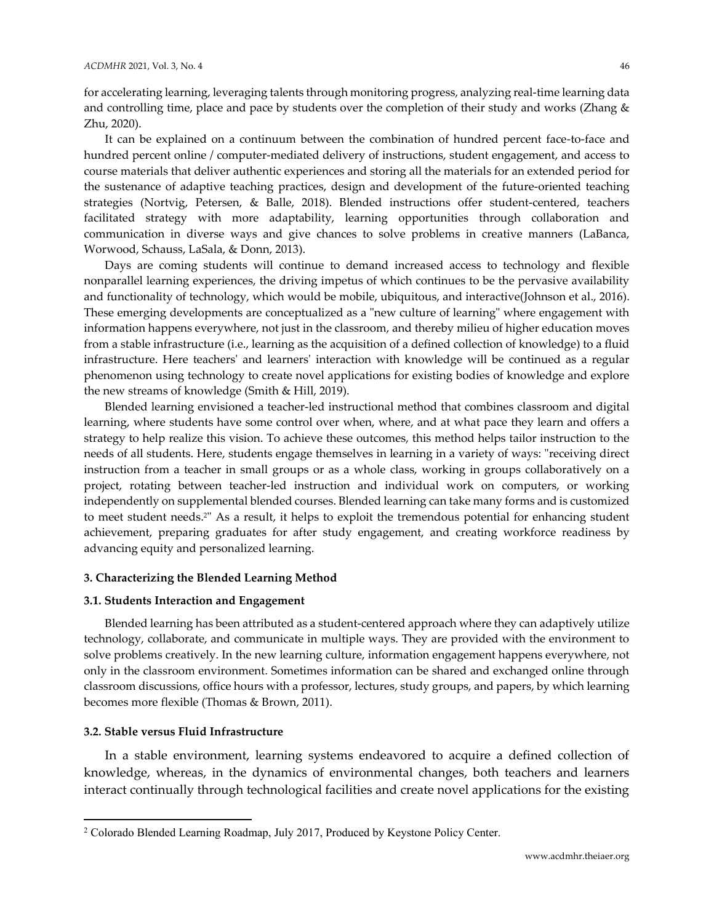for accelerating learning, leveraging talents through monitoring progress, analyzing real-time learning data and controlling time, place and pace by students over the completion of their study and works [\(Zhang &](#page-13-2)  [Zhu, 2020\)](#page-13-2).

It can be explained on a continuum between the combination of hundred percent face-to-face and hundred percent online / computer-mediated delivery of instructions, student engagement, and access to course materials that deliver authentic experiences and storing all the materials for an extended period for the sustenance of adaptive teaching practices, design and development of the future-oriented teaching strategies [\(Nortvig, Petersen, & Balle, 2018\)](#page-13-3). Blended instructions offer student-centered, teachers facilitated strategy with more adaptability, learning opportunities through collaboration and communication in diverse ways and give chances to solve problems in creative manners [\(LaBanca,](#page-12-10)  [Worwood, Schauss, LaSala, & Donn, 2013\)](#page-12-10).

Days are coming students will continue to demand increased access to technology and flexible nonparallel learning experiences, the driving impetus of which continues to be the pervasive availability and functionality of technology, which would be mobile, ubiquitous, and interactive[\(Johnson et al., 2016\)](#page-12-11). These emerging developments are conceptualized as a "new culture of learning" where engagement with information happens everywhere, not just in the classroom, and thereby milieu of higher education moves from a stable infrastructure (i.e., learning as the acquisition of a defined collection of knowledge) to a fluid infrastructure. Here teachers' and learners' interaction with knowledge will be continued as a regular phenomenon using technology to create novel applications for existing bodies of knowledge and explore the new streams of knowledge [\(Smith & Hill, 2019\)](#page-13-4).

Blended learning envisioned a teacher-led instructional method that combines classroom and digital learning, where students have some control over when, where, and at what pace they learn and offers a strategy to help realize this vision. To achieve these outcomes, this method helps tailor instruction to the needs of all students. Here, students engage themselves in learning in a variety of ways: "receiving direct instruction from a teacher in small groups or as a whole class, working in groups collaboratively on a project, rotating between teacher-led instruction and individual work on computers, or working independently on supplemental blended courses. Blended learning can take many forms and is customized to meet student needs. <sup>2</sup>" As a result, it helps to exploit the tremendous potential for enhancing student achievement, preparing graduates for after study engagement, and creating workforce readiness by advancing equity and personalized learning.

#### **3. Characterizing the Blended Learning Method**

#### **3.1. Students Interaction and Engagement**

Blended learning has been attributed as a student-centered approach where they can adaptively utilize technology, collaborate, and communicate in multiple ways. They are provided with the environment to solve problems creatively. In the new learning culture, information engagement happens everywhere, not only in the classroom environment. Sometimes information can be shared and exchanged online through classroom discussions, office hours with a professor, lectures, study groups, and papers, by which learning becomes more flexible [\(Thomas & Brown, 2011\)](#page-13-5).

#### **3.2. Stable versus Fluid Infrastructure**

 $\overline{\phantom{a}}$ 

In a stable environment, learning systems endeavored to acquire a defined collection of knowledge, whereas, in the dynamics of environmental changes, both teachers and learners interact continually through technological facilities and create novel applications for the existing

<sup>2</sup> Colorado Blended Learning Roadmap, July 2017, Produced by Keystone Policy Center.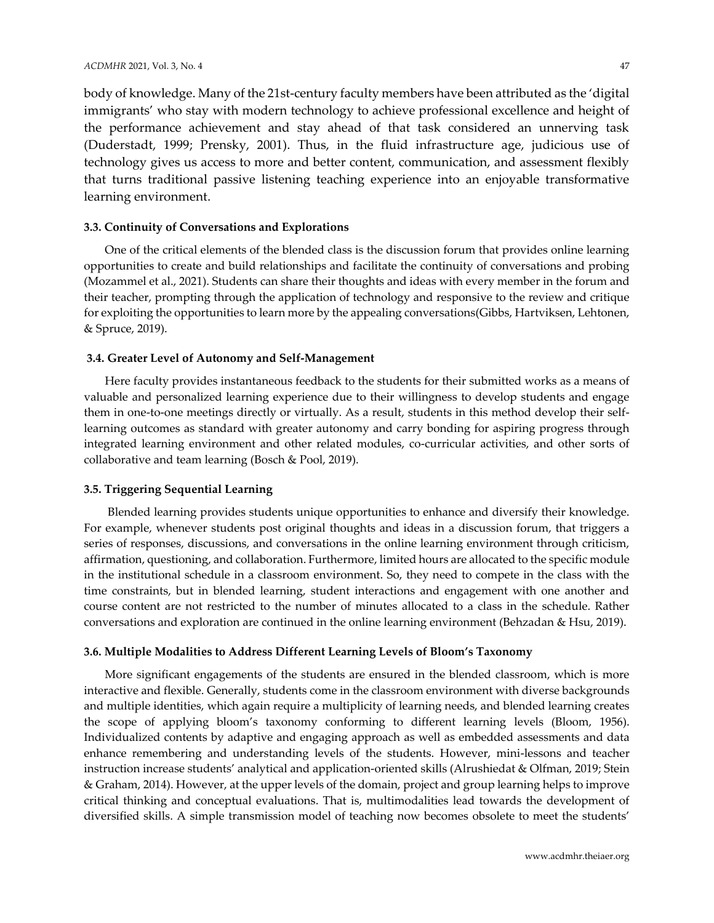body of knowledge. Many of the 21st-century faculty members have been attributed as the 'digital immigrants' who stay with modern technology to achieve professional excellence and height of the performance achievement and stay ahead of that task considered an unnerving task [\(Duderstadt, 1999;](#page-12-12) [Prensky, 2001\)](#page-13-6). Thus, in the fluid infrastructure age, judicious use of technology gives us access to more and better content, communication, and assessment flexibly that turns traditional passive listening teaching experience into an enjoyable transformative learning environment.

# **3.3. Continuity of Conversations and Explorations**

One of the critical elements of the blended class is the discussion forum that provides online learning opportunities to create and build relationships and facilitate the continuity of conversations and probing (Mozammel et al., 2021). Students can share their thoughts and ideas with every member in the forum and their teacher, prompting through the application of technology and responsive to the review and critique for exploiting the opportunities to learn more by the appealing conversations[\(Gibbs, Hartviksen, Lehtonen,](#page-12-13)  [& Spruce, 2019\)](#page-12-13).

# **3.4. Greater Level of Autonomy and Self-Management**

Here faculty provides instantaneous feedback to the students for their submitted works as a means of valuable and personalized learning experience due to their willingness to develop students and engage them in one-to-one meetings directly or virtually. As a result, students in this method develop their selflearning outcomes as standard with greater autonomy and carry bonding for aspiring progress through integrated learning environment and other related modules, co-curricular activities, and other sorts of collaborative and team learning [\(Bosch & Pool, 2019\)](#page-12-14).

# **3.5. Triggering Sequential Learning**

Blended learning provides students unique opportunities to enhance and diversify their knowledge. For example, whenever students post original thoughts and ideas in a discussion forum, that triggers a series of responses, discussions, and conversations in the online learning environment through criticism, affirmation, questioning, and collaboration. Furthermore, limited hours are allocated to the specific module in the institutional schedule in a classroom environment. So, they need to compete in the class with the time constraints, but in blended learning, student interactions and engagement with one another and course content are not restricted to the number of minutes allocated to a class in the schedule. Rather conversations and exploration are continued in the online learning environment [\(Behzadan & Hsu, 2019\)](#page-11-2).

# **3.6. Multiple Modalities to Address Different Learning Levels of Bloom's Taxonomy**

More significant engagements of the students are ensured in the blended classroom, which is more interactive and flexible. Generally, students come in the classroom environment with diverse backgrounds and multiple identities, which again require a multiplicity of learning needs, and blended learning creates the scope of applying bloom's taxonomy conforming to different learning levels (Bloom, 1956). Individualized contents by adaptive and engaging approach as well as embedded assessments and data enhance remembering and understanding levels of the students. However, mini-lessons and teacher instruction increase students' analytical and application-oriented skills [\(Alrushiedat & Olfman, 2019;](#page-11-3) [Stein](#page-13-7)  [& Graham, 2014\)](#page-13-7). However, at the upper levels of the domain, project and group learning helps to improve critical thinking and conceptual evaluations. That is, multimodalities lead towards the development of diversified skills. A simple transmission model of teaching now becomes obsolete to meet the students'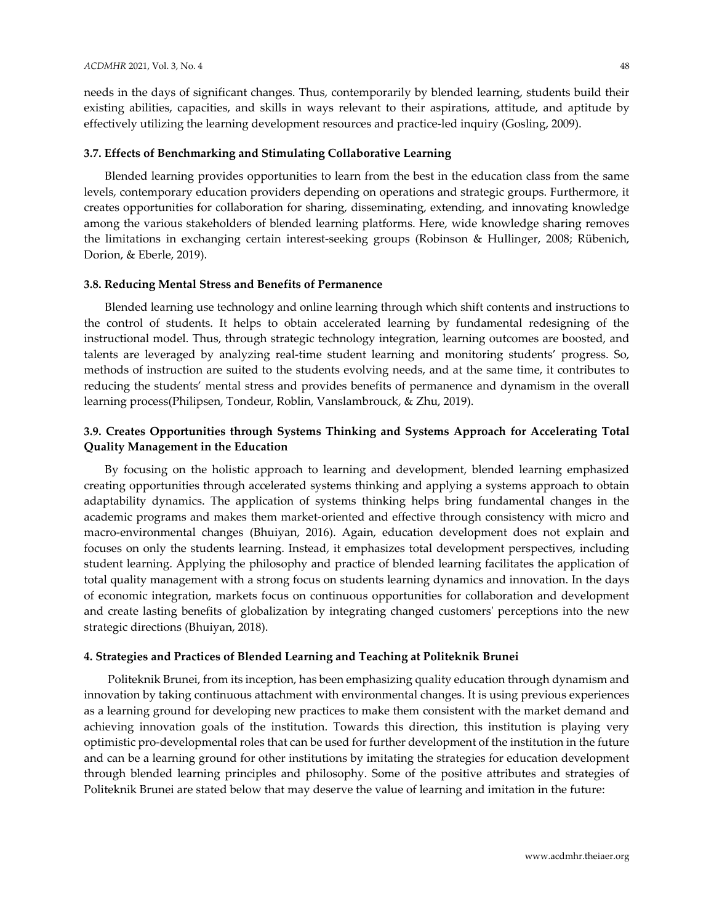needs in the days of significant changes. Thus, contemporarily by blended learning, students build their existing abilities, capacities, and skills in ways relevant to their aspirations, attitude, and aptitude by effectively utilizing the learning development resources and practice-led inquiry [\(Gosling, 2009\)](#page-12-15).

# **3.7. Effects of Benchmarking and Stimulating Collaborative Learning**

Blended learning provides opportunities to learn from the best in the education class from the same levels, contemporary education providers depending on operations and strategic groups. Furthermore, it creates opportunities for collaboration for sharing, disseminating, extending, and innovating knowledge among the various stakeholders of blended learning platforms. Here, wide knowledge sharing removes the limitations in exchanging certain interest-seeking groups [\(Robinson & Hullinger, 2008;](#page-13-8) [Rübenich,](#page-13-9)  [Dorion, & Eberle, 2019\)](#page-13-9).

#### **3.8. Reducing Mental Stress and Benefits of Permanence**

Blended learning use technology and online learning through which shift contents and instructions to the control of students. It helps to obtain accelerated learning by fundamental redesigning of the instructional model. Thus, through strategic technology integration, learning outcomes are boosted, and talents are leveraged by analyzing real-time student learning and monitoring students' progress. So, methods of instruction are suited to the students evolving needs, and at the same time, it contributes to reducing the students' mental stress and provides benefits of permanence and dynamism in the overall learning process[\(Philipsen, Tondeur, Roblin, Vanslambrouck, & Zhu, 2019\)](#page-13-10).

# **3.9. Creates Opportunities through Systems Thinking and Systems Approach for Accelerating Total Quality Management in the Education**

By focusing on the holistic approach to learning and development, blended learning emphasized creating opportunities through accelerated systems thinking and applying a systems approach to obtain adaptability dynamics. The application of systems thinking helps bring fundamental changes in the academic programs and makes them market-oriented and effective through consistency with micro and macro-environmental changes (Bhuiyan, 2016). Again, education development does not explain and focuses on only the students learning. Instead, it emphasizes total development perspectives, including student learning. Applying the philosophy and practice of blended learning facilitates the application of total quality management with a strong focus on students learning dynamics and innovation. In the days of economic integration, markets focus on continuous opportunities for collaboration and development and create lasting benefits of globalization by integrating changed customers' perceptions into the new strategic directions [\(Bhuiyan, 2018\)](#page-11-4).

#### **4. Strategies and Practices of Blended Learning and Teaching at Politeknik Brunei**

Politeknik Brunei, from its inception, has been emphasizing quality education through dynamism and innovation by taking continuous attachment with environmental changes. It is using previous experiences as a learning ground for developing new practices to make them consistent with the market demand and achieving innovation goals of the institution. Towards this direction, this institution is playing very optimistic pro-developmental roles that can be used for further development of the institution in the future and can be a learning ground for other institutions by imitating the strategies for education development through blended learning principles and philosophy. Some of the positive attributes and strategies of Politeknik Brunei are stated below that may deserve the value of learning and imitation in the future: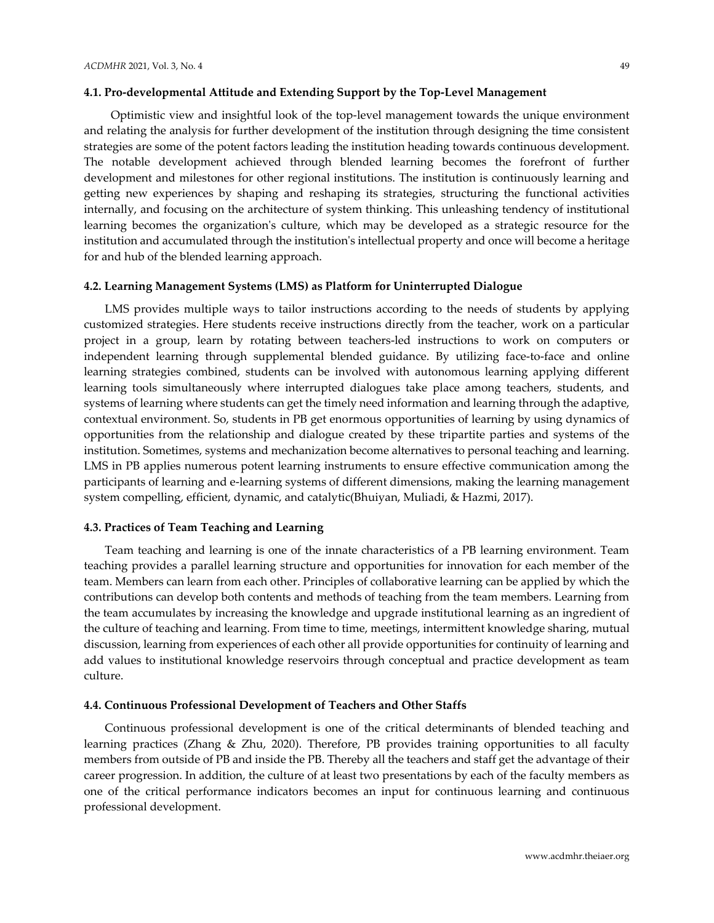#### **4.1. Pro-developmental Attitude and Extending Support by the Top-Level Management**

 Optimistic view and insightful look of the top-level management towards the unique environment and relating the analysis for further development of the institution through designing the time consistent strategies are some of the potent factors leading the institution heading towards continuous development. The notable development achieved through blended learning becomes the forefront of further development and milestones for other regional institutions. The institution is continuously learning and getting new experiences by shaping and reshaping its strategies, structuring the functional activities internally, and focusing on the architecture of system thinking. This unleashing tendency of institutional learning becomes the organization's culture, which may be developed as a strategic resource for the institution and accumulated through the institution's intellectual property and once will become a heritage for and hub of the blended learning approach.

#### **4.2. Learning Management Systems (LMS) as Platform for Uninterrupted Dialogue**

LMS provides multiple ways to tailor instructions according to the needs of students by applying customized strategies. Here students receive instructions directly from the teacher, work on a particular project in a group, learn by rotating between teachers-led instructions to work on computers or independent learning through supplemental blended guidance. By utilizing face-to-face and online learning strategies combined, students can be involved with autonomous learning applying different learning tools simultaneously where interrupted dialogues take place among teachers, students, and systems of learning where students can get the timely need information and learning through the adaptive, contextual environment. So, students in PB get enormous opportunities of learning by using dynamics of opportunities from the relationship and dialogue created by these tripartite parties and systems of the institution. Sometimes, systems and mechanization become alternatives to personal teaching and learning. LMS in PB applies numerous potent learning instruments to ensure effective communication among the participants of learning and e-learning systems of different dimensions, making the learning management system compelling, efficient, dynamic, and catalytic[\(Bhuiyan, Muliadi, & Hazmi, 2017\)](#page-12-16).

# **4.3. Practices of Team Teaching and Learning**

Team teaching and learning is one of the innate characteristics of a PB learning environment. Team teaching provides a parallel learning structure and opportunities for innovation for each member of the team. Members can learn from each other. Principles of collaborative learning can be applied by which the contributions can develop both contents and methods of teaching from the team members. Learning from the team accumulates by increasing the knowledge and upgrade institutional learning as an ingredient of the culture of teaching and learning. From time to time, meetings, intermittent knowledge sharing, mutual discussion, learning from experiences of each other all provide opportunities for continuity of learning and add values to institutional knowledge reservoirs through conceptual and practice development as team culture.

# **4.4. Continuous Professional Development of Teachers and Other Staffs**

Continuous professional development is one of the critical determinants of blended teaching and learning practices [\(Zhang & Zhu, 2020\)](#page-13-2). Therefore, PB provides training opportunities to all faculty members from outside of PB and inside the PB. Thereby all the teachers and staff get the advantage of their career progression. In addition, the culture of at least two presentations by each of the faculty members as one of the critical performance indicators becomes an input for continuous learning and continuous professional development.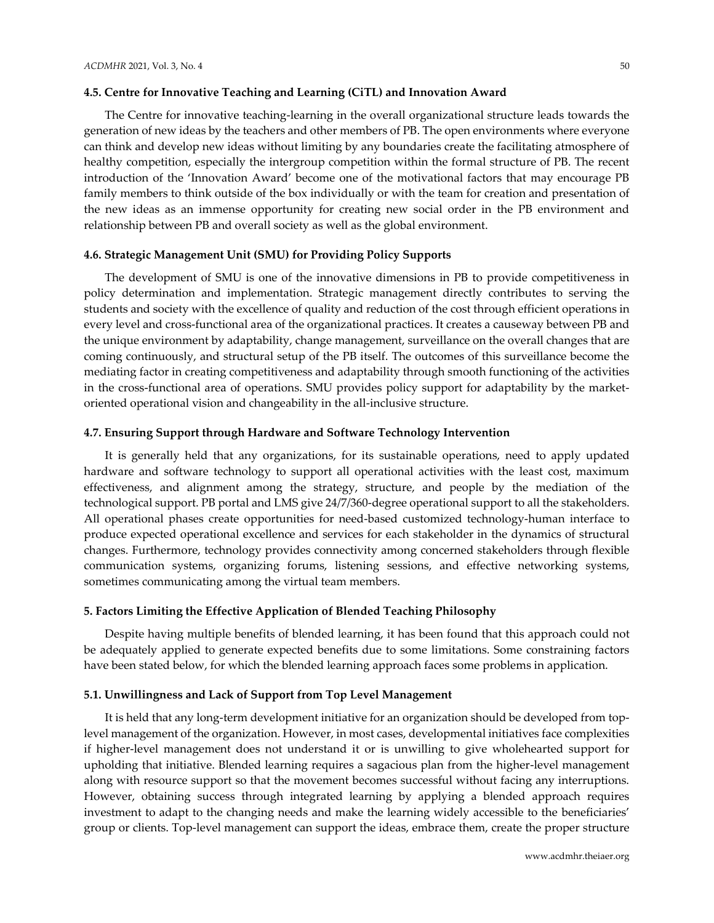#### **4.5. Centre for Innovative Teaching and Learning (CiTL) and Innovation Award**

The Centre for innovative teaching-learning in the overall organizational structure leads towards the generation of new ideas by the teachers and other members of PB. The open environments where everyone can think and develop new ideas without limiting by any boundaries create the facilitating atmosphere of healthy competition, especially the intergroup competition within the formal structure of PB. The recent introduction of the 'Innovation Award' become one of the motivational factors that may encourage PB family members to think outside of the box individually or with the team for creation and presentation of the new ideas as an immense opportunity for creating new social order in the PB environment and relationship between PB and overall society as well as the global environment.

#### **4.6. Strategic Management Unit (SMU) for Providing Policy Supports**

The development of SMU is one of the innovative dimensions in PB to provide competitiveness in policy determination and implementation. Strategic management directly contributes to serving the students and society with the excellence of quality and reduction of the cost through efficient operations in every level and cross-functional area of the organizational practices. It creates a causeway between PB and the unique environment by adaptability, change management, surveillance on the overall changes that are coming continuously, and structural setup of the PB itself. The outcomes of this surveillance become the mediating factor in creating competitiveness and adaptability through smooth functioning of the activities in the cross-functional area of operations. SMU provides policy support for adaptability by the marketoriented operational vision and changeability in the all-inclusive structure.

#### **4.7. Ensuring Support through Hardware and Software Technology Intervention**

It is generally held that any organizations, for its sustainable operations, need to apply updated hardware and software technology to support all operational activities with the least cost, maximum effectiveness, and alignment among the strategy, structure, and people by the mediation of the technological support. PB portal and LMS give 24/7/360-degree operational support to all the stakeholders. All operational phases create opportunities for need-based customized technology-human interface to produce expected operational excellence and services for each stakeholder in the dynamics of structural changes. Furthermore, technology provides connectivity among concerned stakeholders through flexible communication systems, organizing forums, listening sessions, and effective networking systems, sometimes communicating among the virtual team members.

#### **5. Factors Limiting the Effective Application of Blended Teaching Philosophy**

Despite having multiple benefits of blended learning, it has been found that this approach could not be adequately applied to generate expected benefits due to some limitations. Some constraining factors have been stated below, for which the blended learning approach faces some problems in application.

#### **5.1. Unwillingness and Lack of Support from Top Level Management**

It is held that any long-term development initiative for an organization should be developed from toplevel management of the organization. However, in most cases, developmental initiatives face complexities if higher-level management does not understand it or is unwilling to give wholehearted support for upholding that initiative. Blended learning requires a sagacious plan from the higher-level management along with resource support so that the movement becomes successful without facing any interruptions. However, obtaining success through integrated learning by applying a blended approach requires investment to adapt to the changing needs and make the learning widely accessible to the beneficiaries' group or clients. Top-level management can support the ideas, embrace them, create the proper structure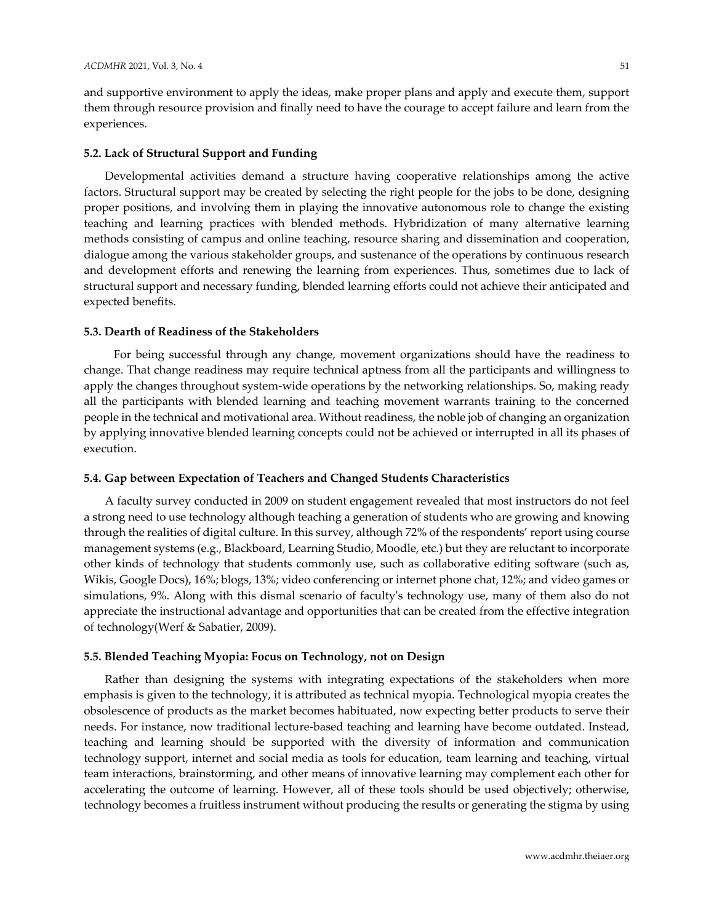and supportive environment to apply the ideas, make proper plans and apply and execute them, support them through resource provision and finally need to have the courage to accept failure and learn from the experiences.

#### **5.2. Lack of Structural Support and Funding**

Developmental activities demand a structure having cooperative relationships among the active factors. Structural support may be created by selecting the right people for the jobs to be done, designing proper positions, and involving them in playing the innovative autonomous role to change the existing teaching and learning practices with blended methods. Hybridization of many alternative learning methods consisting of campus and online teaching, resource sharing and dissemination and cooperation, dialogue among the various stakeholder groups, and sustenance of the operations by continuous research and development efforts and renewing the learning from experiences. Thus, sometimes due to lack of structural support and necessary funding, blended learning efforts could not achieve their anticipated and expected benefits.

#### **5.3. Dearth of Readiness of the Stakeholders**

 For being successful through any change, movement organizations should have the readiness to change. That change readiness may require technical aptness from all the participants and willingness to apply the changes throughout system-wide operations by the networking relationships. So, making ready all the participants with blended learning and teaching movement warrants training to the concerned people in the technical and motivational area. Without readiness, the noble job of changing an organization by applying innovative blended learning concepts could not be achieved or interrupted in all its phases of execution.

## **5.4. Gap between Expectation of Teachers and Changed Students Characteristics**

A faculty survey conducted in 2009 on student engagement revealed that most instructors do not feel a strong need to use technology although teaching a generation of students who are growing and knowing through the realities of digital culture. In this survey, although 72% of the respondents' report using course management systems (e.g., Blackboard, Learning Studio, Moodle, etc.) but they are reluctant to incorporate other kinds of technology that students commonly use, such as collaborative editing software (such as, Wikis, Google Docs), 16%; blogs, 13%; video conferencing or internet phone chat, 12%; and video games or simulations, 9%. Along with this dismal scenario of faculty's technology use, many of them also do not appreciate the instructional advantage and opportunities that can be created from the effective integration of technology[\(Werf & Sabatier, 2009\)](#page-13-11).

#### **5.5. Blended Teaching Myopia: Focus on Technology, not on Design**

Rather than designing the systems with integrating expectations of the stakeholders when more emphasis is given to the technology, it is attributed as technical myopia. Technological myopia creates the obsolescence of products as the market becomes habituated, now expecting better products to serve their needs. For instance, now traditional lecture-based teaching and learning have become outdated. Instead, teaching and learning should be supported with the diversity of information and communication technology support, internet and social media as tools for education, team learning and teaching, virtual team interactions, brainstorming, and other means of innovative learning may complement each other for accelerating the outcome of learning. However, all of these tools should be used objectively; otherwise, technology becomes a fruitless instrument without producing the results or generating the stigma by using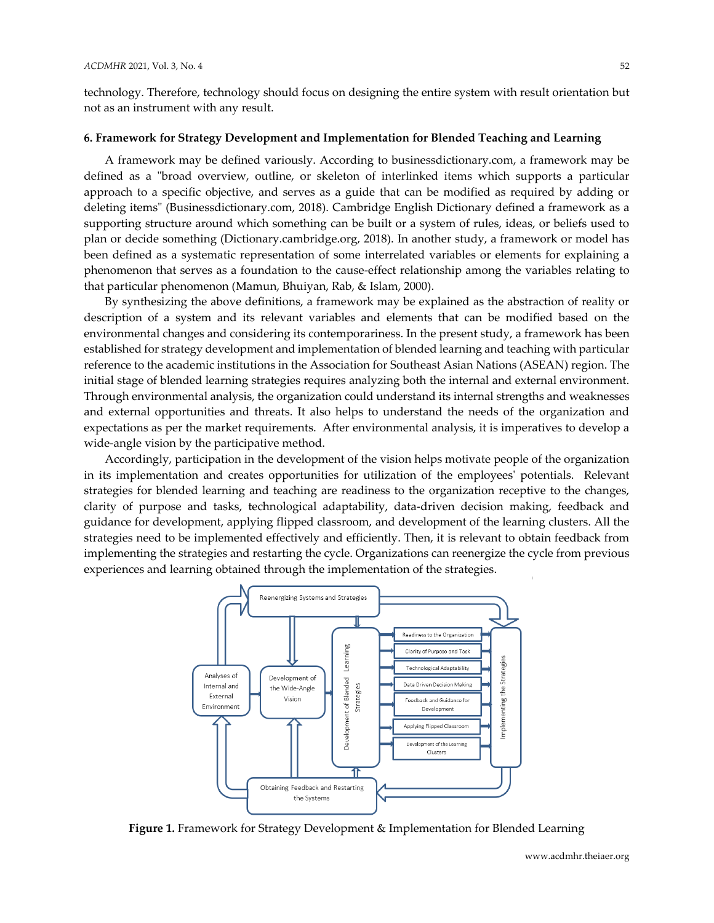technology. Therefore, technology should focus on designing the entire system with result orientation but not as an instrument with any result.

# **6. Framework for Strategy Development and Implementation for Blended Teaching and Learning**

A framework may be defined variously. According to businessdictionary.com, a framework may be defined as a "broad overview, outline, or skeleton of interlinked items which supports a particular approach to a specific objective, and serves as a guide that can be modified as required by adding or deleting items" (Businessdictionary.com, 2018). Cambridge English Dictionary defined a framework as a supporting structure around which something can be built or a system of rules, ideas, or beliefs used to plan or decide something (Dictionary.cambridge.org, 2018). In another study, a framework or model has been defined as a systematic representation of some interrelated variables or elements for explaining a phenomenon that serves as a foundation to the cause-effect relationship among the variables relating to that particular phenomenon [\(Mamun, Bhuiyan, Rab, & Islam, 2000\)](#page-12-17).

By synthesizing the above definitions, a framework may be explained as the abstraction of reality or description of a system and its relevant variables and elements that can be modified based on the environmental changes and considering its contemporariness. In the present study, a framework has been established for strategy development and implementation of blended learning and teaching with particular reference to the academic institutions in the Association for Southeast Asian Nations (ASEAN) region. The initial stage of blended learning strategies requires analyzing both the internal and external environment. Through environmental analysis, the organization could understand its internal strengths and weaknesses and external opportunities and threats. It also helps to understand the needs of the organization and expectations as per the market requirements. After environmental analysis, it is imperatives to develop a wide-angle vision by the participative method.

Accordingly, participation in the development of the vision helps motivate people of the organization in its implementation and creates opportunities for utilization of the employees' potentials. Relevant strategies for blended learning and teaching are readiness to the organization receptive to the changes, clarity of purpose and tasks, technological adaptability, data-driven decision making, feedback and guidance for development, applying flipped classroom, and development of the learning clusters. All the strategies need to be implemented effectively and efficiently. Then, it is relevant to obtain feedback from implementing the strategies and restarting the cycle. Organizations can reenergize the cycle from previous experiences and learning obtained through the implementation of the strategies.



**Figure 1.** Framework for Strategy Development & Implementation for Blended Learning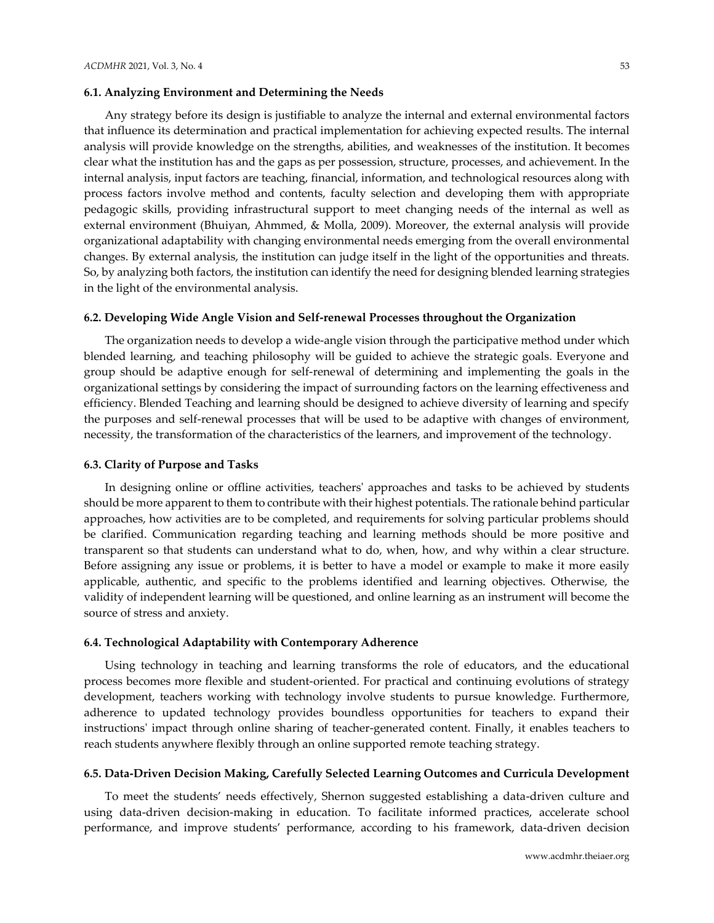#### **6.1. Analyzing Environment and Determining the Needs**

Any strategy before its design is justifiable to analyze the internal and external environmental factors that influence its determination and practical implementation for achieving expected results. The internal analysis will provide knowledge on the strengths, abilities, and weaknesses of the institution. It becomes clear what the institution has and the gaps as per possession, structure, processes, and achievement. In the internal analysis, input factors are teaching, financial, information, and technological resources along with process factors involve method and contents, faculty selection and developing them with appropriate pedagogic skills, providing infrastructural support to meet changing needs of the internal as well as external environment [\(Bhuiyan, Ahmmed, & Molla, 2009\)](#page-12-18). Moreover, the external analysis will provide organizational adaptability with changing environmental needs emerging from the overall environmental changes. By external analysis, the institution can judge itself in the light of the opportunities and threats. So, by analyzing both factors, the institution can identify the need for designing blended learning strategies in the light of the environmental analysis.

#### **6.2. Developing Wide Angle Vision and Self-renewal Processes throughout the Organization**

The organization needs to develop a wide-angle vision through the participative method under which blended learning, and teaching philosophy will be guided to achieve the strategic goals. Everyone and group should be adaptive enough for self-renewal of determining and implementing the goals in the organizational settings by considering the impact of surrounding factors on the learning effectiveness and efficiency. Blended Teaching and learning should be designed to achieve diversity of learning and specify the purposes and self-renewal processes that will be used to be adaptive with changes of environment, necessity, the transformation of the characteristics of the learners, and improvement of the technology.

#### **6.3. Clarity of Purpose and Tasks**

In designing online or offline activities, teachers' approaches and tasks to be achieved by students should be more apparent to them to contribute with their highest potentials. The rationale behind particular approaches, how activities are to be completed, and requirements for solving particular problems should be clarified. Communication regarding teaching and learning methods should be more positive and transparent so that students can understand what to do, when, how, and why within a clear structure. Before assigning any issue or problems, it is better to have a model or example to make it more easily applicable, authentic, and specific to the problems identified and learning objectives. Otherwise, the validity of independent learning will be questioned, and online learning as an instrument will become the source of stress and anxiety.

#### **6.4. Technological Adaptability with Contemporary Adherence**

Using technology in teaching and learning transforms the role of educators, and the educational process becomes more flexible and student-oriented. For practical and continuing evolutions of strategy development, teachers working with technology involve students to pursue knowledge. Furthermore, adherence to updated technology provides boundless opportunities for teachers to expand their instructions' impact through online sharing of teacher-generated content. Finally, it enables teachers to reach students anywhere flexibly through an online supported remote teaching strategy.

#### **6.5. Data-Driven Decision Making, Carefully Selected Learning Outcomes and Curricula Development**

To meet the students' needs effectively, Shernon suggested establishing a data-driven culture and using data-driven decision-making in education. To facilitate informed practices, accelerate school performance, and improve students' performance, according to his framework, data-driven decision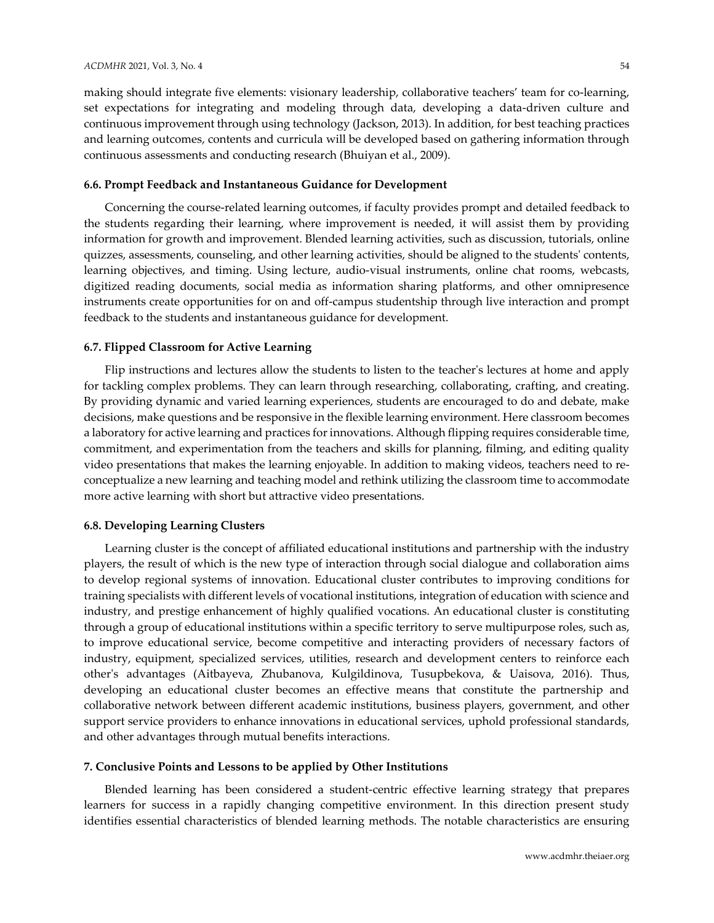making should integrate five elements: visionary leadership, collaborative teachers' team for co-learning, set expectations for integrating and modeling through data, developing a data-driven culture and continuous improvement through using technology [\(Jackson, 2013\)](#page-12-19). In addition, for best teaching practices and learning outcomes, contents and curricula will be developed based on gathering information through continuous assessments and conducting research [\(Bhuiyan et al., 2009\)](#page-12-18).

# **6.6. Prompt Feedback and Instantaneous Guidance for Development**

Concerning the course-related learning outcomes, if faculty provides prompt and detailed feedback to the students regarding their learning, where improvement is needed, it will assist them by providing information for growth and improvement. Blended learning activities, such as discussion, tutorials, online quizzes, assessments, counseling, and other learning activities, should be aligned to the students' contents, learning objectives, and timing. Using lecture, audio-visual instruments, online chat rooms, webcasts, digitized reading documents, social media as information sharing platforms, and other omnipresence instruments create opportunities for on and off-campus studentship through live interaction and prompt feedback to the students and instantaneous guidance for development.

# **6.7. Flipped Classroom for Active Learning**

Flip instructions and lectures allow the students to listen to the teacher's lectures at home and apply for tackling complex problems. They can learn through researching, collaborating, crafting, and creating. By providing dynamic and varied learning experiences, students are encouraged to do and debate, make decisions, make questions and be responsive in the flexible learning environment. Here classroom becomes a laboratory for active learning and practices for innovations. Although flipping requires considerable time, commitment, and experimentation from the teachers and skills for planning, filming, and editing quality video presentations that makes the learning enjoyable. In addition to making videos, teachers need to reconceptualize a new learning and teaching model and rethink utilizing the classroom time to accommodate more active learning with short but attractive video presentations.

# **6.8. Developing Learning Clusters**

Learning cluster is the concept of affiliated educational institutions and partnership with the industry players, the result of which is the new type of interaction through social dialogue and collaboration aims to develop regional systems of innovation. Educational cluster contributes to improving conditions for training specialists with different levels of vocational institutions, integration of education with science and industry, and prestige enhancement of highly qualified vocations. An educational cluster is constituting through a group of educational institutions within a specific territory to serve multipurpose roles, such as, to improve educational service, become competitive and interacting providers of necessary factors of industry, equipment, specialized services, utilities, research and development centers to reinforce each other's advantages [\(Aitbayeva, Zhubanova, Kulgildinova, Tusupbekova, & Uaisova, 2016\)](#page-11-5). Thus, developing an educational cluster becomes an effective means that constitute the partnership and collaborative network between different academic institutions, business players, government, and other support service providers to enhance innovations in educational services, uphold professional standards, and other advantages through mutual benefits interactions.

#### **7. Conclusive Points and Lessons to be applied by Other Institutions**

Blended learning has been considered a student-centric effective learning strategy that prepares learners for success in a rapidly changing competitive environment. In this direction present study identifies essential characteristics of blended learning methods. The notable characteristics are ensuring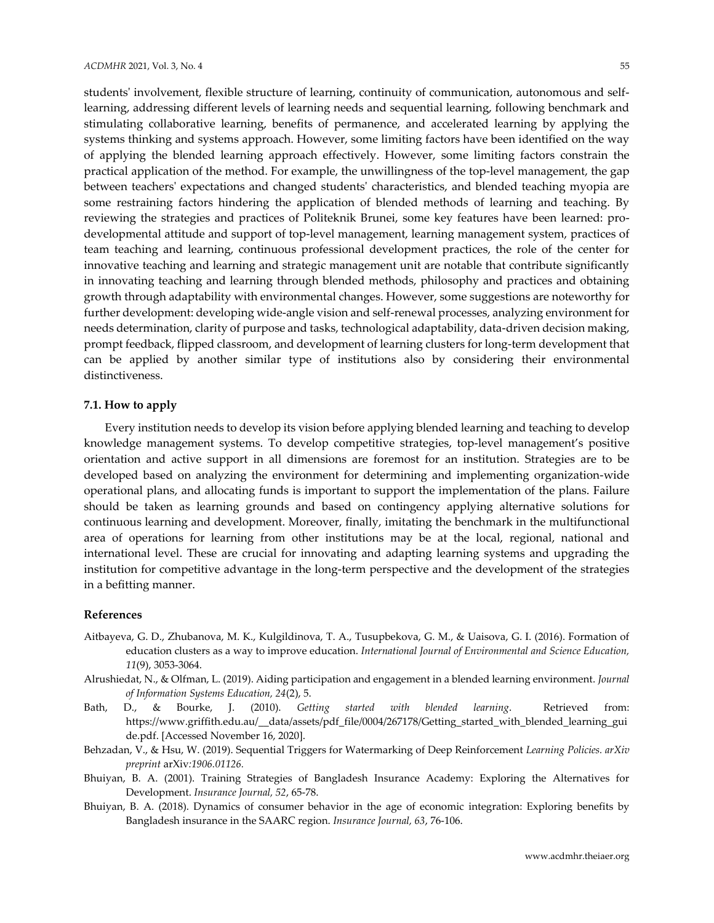students' involvement, flexible structure of learning, continuity of communication, autonomous and selflearning, addressing different levels of learning needs and sequential learning, following benchmark and stimulating collaborative learning, benefits of permanence, and accelerated learning by applying the systems thinking and systems approach. However, some limiting factors have been identified on the way of applying the blended learning approach effectively. However, some limiting factors constrain the practical application of the method. For example, the unwillingness of the top-level management, the gap between teachers' expectations and changed students' characteristics, and blended teaching myopia are some restraining factors hindering the application of blended methods of learning and teaching. By reviewing the strategies and practices of Politeknik Brunei, some key features have been learned: prodevelopmental attitude and support of top-level management, learning management system, practices of team teaching and learning, continuous professional development practices, the role of the center for innovative teaching and learning and strategic management unit are notable that contribute significantly in innovating teaching and learning through blended methods, philosophy and practices and obtaining growth through adaptability with environmental changes. However, some suggestions are noteworthy for further development: developing wide-angle vision and self-renewal processes, analyzing environment for needs determination, clarity of purpose and tasks, technological adaptability, data-driven decision making, prompt feedback, flipped classroom, and development of learning clusters for long-term development that can be applied by another similar type of institutions also by considering their environmental distinctiveness.

# **7.1. How to apply**

Every institution needs to develop its vision before applying blended learning and teaching to develop knowledge management systems. To develop competitive strategies, top-level management's positive orientation and active support in all dimensions are foremost for an institution. Strategies are to be developed based on analyzing the environment for determining and implementing organization-wide operational plans, and allocating funds is important to support the implementation of the plans. Failure should be taken as learning grounds and based on contingency applying alternative solutions for continuous learning and development. Moreover, finally, imitating the benchmark in the multifunctional area of operations for learning from other institutions may be at the local, regional, national and international level. These are crucial for innovating and adapting learning systems and upgrading the institution for competitive advantage in the long-term perspective and the development of the strategies in a befitting manner.

# **References**

- <span id="page-11-5"></span>Aitbayeva, G. D., Zhubanova, M. K., Kulgildinova, T. A., Tusupbekova, G. M., & Uaisova, G. I. (2016). Formation of education clusters as a way to improve education. *International Journal of Environmental and Science Education, 11*(9), 3053-3064.
- <span id="page-11-3"></span>Alrushiedat, N., & Olfman, L. (2019). Aiding participation and engagement in a blended learning environment. *Journal of Information Systems Education, 24*(2), 5.
- <span id="page-11-1"></span>Bath, D., & Bourke, J. (2010). *Getting started with blended learning*. Retrieved from: https://www.griffith.edu.au/\_\_data/assets/pdf\_file/0004/267178/Getting\_started\_with\_blended\_learning\_gui de.pdf. [Accessed November 16, 2020].
- <span id="page-11-2"></span>Behzadan, V., & Hsu, W. (2019). Sequential Triggers for Watermarking of Deep Reinforcement *Learning Policies. arXiv preprint* arXiv*:1906.01126.*
- <span id="page-11-0"></span>Bhuiyan, B. A. (2001). Training Strategies of Bangladesh Insurance Academy: Exploring the Alternatives for Development. *Insurance Journal, 52*, 65-78.
- <span id="page-11-4"></span>Bhuiyan, B. A. (2018). Dynamics of consumer behavior in the age of economic integration: Exploring benefits by Bangladesh insurance in the SAARC region. *Insurance Journal, 63*, 76-106.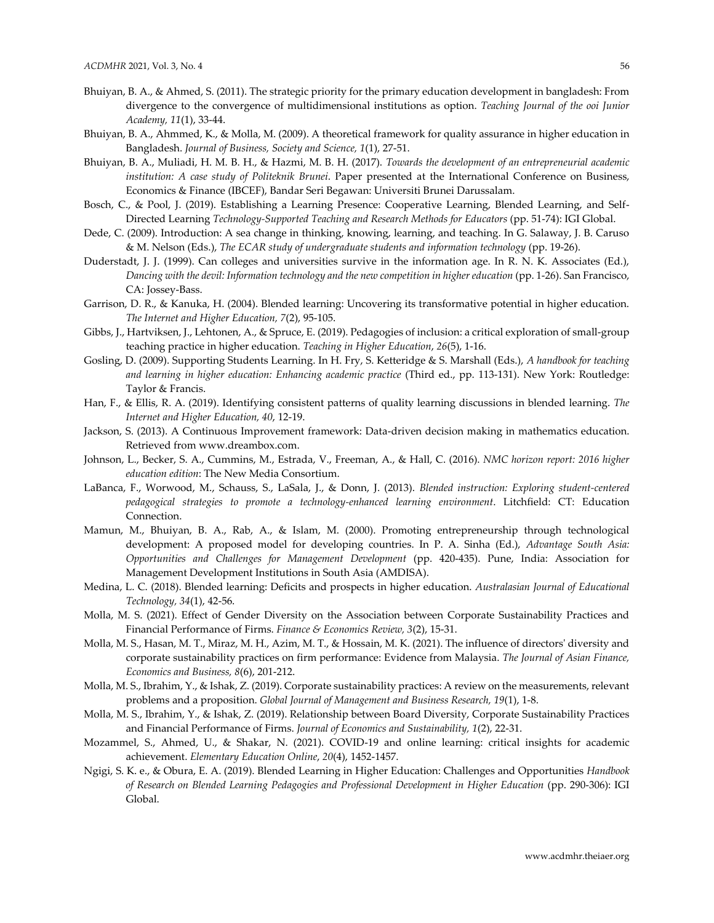- <span id="page-12-5"></span>Bhuiyan, B. A., & Ahmed, S. (2011). The strategic priority for the primary education development in bangladesh: From divergence to the convergence of multidimensional institutions as option. *Teaching Journal of the ooi Junior Academy, 11*(1), 33-44.
- <span id="page-12-18"></span>Bhuiyan, B. A., Ahmmed, K., & Molla, M. (2009). A theoretical framework for quality assurance in higher education in Bangladesh. *Journal of Business, Society and Science, 1*(1), 27-51.
- <span id="page-12-16"></span>Bhuiyan, B. A., Muliadi, H. M. B. H., & Hazmi, M. B. H. (2017). *Towards the development of an entrepreneurial academic institution: A case study of Politeknik Brunei*. Paper presented at the International Conference on Business, Economics & Finance (IBCEF), Bandar Seri Begawan: Universiti Brunei Darussalam.
- <span id="page-12-14"></span>Bosch, C., & Pool, J. (2019). Establishing a Learning Presence: Cooperative Learning, Blended Learning, and Self-Directed Learning *Technology-Supported Teaching and Research Methods for Educators* (pp. 51-74): IGI Global.
- <span id="page-12-9"></span>Dede, C. (2009). Introduction: A sea change in thinking, knowing, learning, and teaching. In G. Salaway, J. B. Caruso & M. Nelson (Eds.), *The ECAR study of undergraduate students and information technology* (pp. 19-26).
- <span id="page-12-12"></span>Duderstadt, J. J. (1999). Can colleges and universities survive in the information age. In R. N. K. Associates (Ed.), *Dancing with the devil: Information technology and the new competition in higher education* (pp. 1-26). San Francisco, CA: Jossey-Bass.
- <span id="page-12-0"></span>Garrison, D. R., & Kanuka, H. (2004). Blended learning: Uncovering its transformative potential in higher education. *The Internet and Higher Education, 7*(2), 95-105.
- <span id="page-12-13"></span>Gibbs, J., Hartviksen, J., Lehtonen, A., & Spruce, E. (2019). Pedagogies of inclusion: a critical exploration of small-group teaching practice in higher education. *Teaching in Higher Education*, *26*(5), 1-16.
- <span id="page-12-15"></span>Gosling, D. (2009). Supporting Students Learning. In H. Fry, S. Ketteridge & S. Marshall (Eds.), *A handbook for teaching and learning in higher education: Enhancing academic practice* (Third ed., pp. 113-131). New York: Routledge: Taylor & Francis.
- <span id="page-12-2"></span>Han, F., & Ellis, R. A. (2019). Identifying consistent patterns of quality learning discussions in blended learning. *The Internet and Higher Education, 40*, 12-19.
- <span id="page-12-19"></span>Jackson, S. (2013). A Continuous Improvement framework: Data-driven decision making in mathematics education. Retrieved from www.dreambox.com.
- <span id="page-12-11"></span>Johnson, L., Becker, S. A., Cummins, M., Estrada, V., Freeman, A., & Hall, C. (2016). *NMC horizon report: 2016 higher education edition*: The New Media Consortium.
- <span id="page-12-10"></span>LaBanca, F., Worwood, M., Schauss, S., LaSala, J., & Donn, J. (2013). *Blended instruction: Exploring student-centered pedagogical strategies to promote a technology-enhanced learning environment*. Litchfield: CT: Education Connection.
- <span id="page-12-17"></span>Mamun, M., Bhuiyan, B. A., Rab, A., & Islam, M. (2000). Promoting entrepreneurship through technological development: A proposed model for developing countries. In P. A. Sinha (Ed.), *Advantage South Asia: Opportunities and Challenges for Management Development* (pp. 420-435). Pune, India: Association for Management Development Institutions in South Asia (AMDISA).
- <span id="page-12-1"></span>Medina, L. C. (2018). Blended learning: Deficits and prospects in higher education. *Australasian Journal of Educational Technology, 34*(1), 42-56.
- <span id="page-12-6"></span>Molla, M. S. (2021). Effect of Gender Diversity on the Association between Corporate Sustainability Practices and Financial Performance of Firms. *Finance & Economics Review, 3*(2), 15-31.
- <span id="page-12-7"></span>Molla, M. S., Hasan, M. T., Miraz, M. H., Azim, M. T., & Hossain, M. K. (2021). The influence of directors' diversity and corporate sustainability practices on firm performance: Evidence from Malaysia. *The Journal of Asian Finance, Economics and Business, 8*(6), 201-212.
- <span id="page-12-8"></span>Molla, M. S., Ibrahim, Y., & Ishak, Z. (2019). Corporate sustainability practices: A review on the measurements, relevant problems and a proposition. *Global Journal of Management and Business Research, 19*(1), 1-8.
- <span id="page-12-4"></span>Molla, M. S., Ibrahim, Y., & Ishak, Z. (2019). Relationship between Board Diversity, Corporate Sustainability Practices and Financial Performance of Firms. *Journal of Economics and Sustainability, 1*(2), 22-31.
- Mozammel, S., Ahmed, U., & Shakar, N. (2021). COVID-19 and online learning: critical insights for academic achievement. *Elementary Education Online*, *20*(4), 1452-1457.
- <span id="page-12-3"></span>Ngigi, S. K. e., & Obura, E. A. (2019). Blended Learning in Higher Education: Challenges and Opportunities *Handbook of Research on Blended Learning Pedagogies and Professional Development in Higher Education* (pp. 290-306): IGI Global.